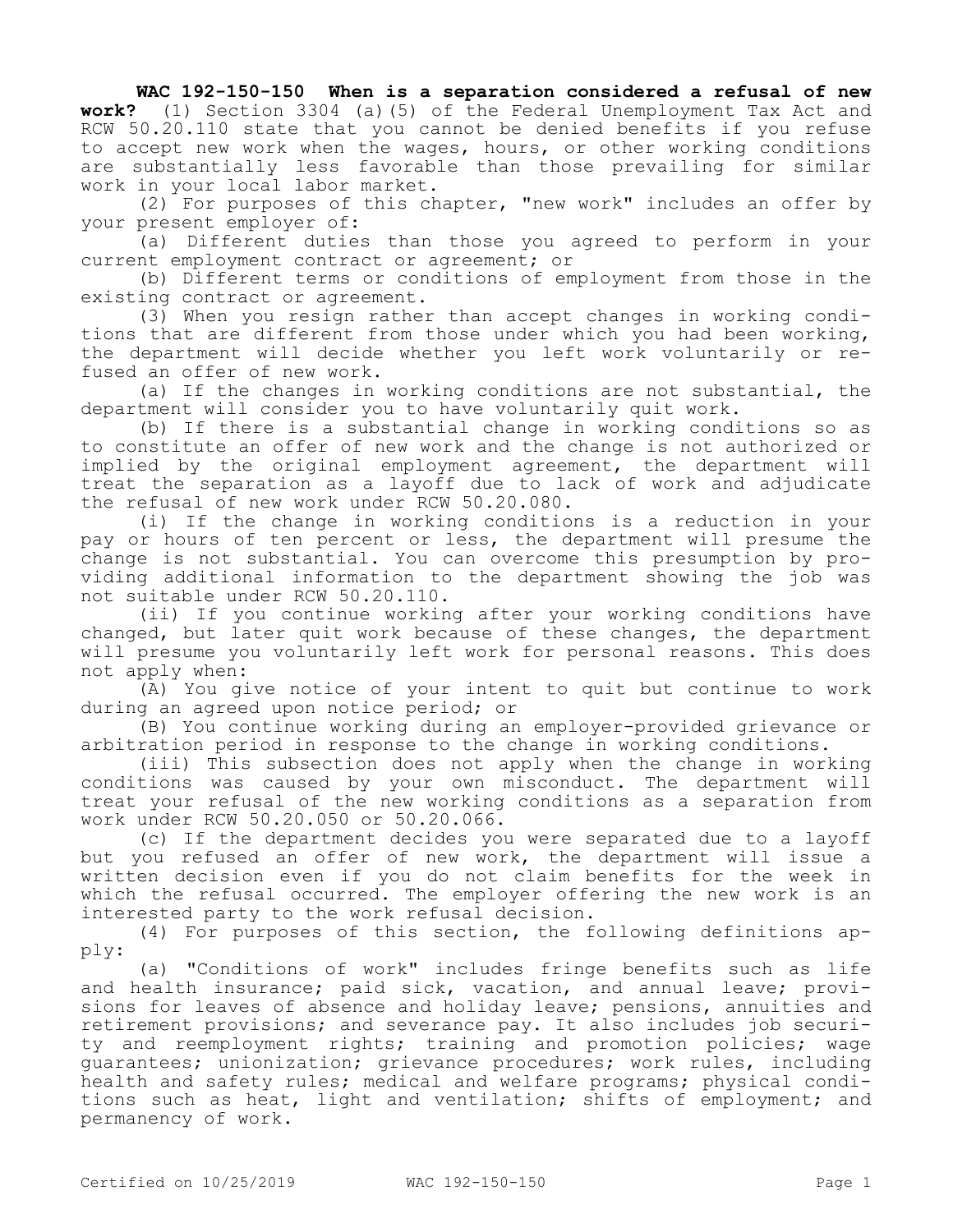## **WAC 192-150-150 When is a separation considered a refusal of new**

**work?** (1) Section 3304 (a)(5) of the Federal Unemployment Tax Act and RCW 50.20.110 state that you cannot be denied benefits if you refuse to accept new work when the wages, hours, or other working conditions are substantially less favorable than those prevailing for similar work in your local labor market.

(2) For purposes of this chapter, "new work" includes an offer by your present employer of:

(a) Different duties than those you agreed to perform in your current employment contract or agreement; or

(b) Different terms or conditions of employment from those in the existing contract or agreement.

(3) When you resign rather than accept changes in working conditions that are different from those under which you had been working, the department will decide whether you left work voluntarily or refused an offer of new work.

(a) If the changes in working conditions are not substantial, the department will consider you to have voluntarily quit work.

(b) If there is a substantial change in working conditions so as to constitute an offer of new work and the change is not authorized or implied by the original employment agreement, the department will treat the separation as a layoff due to lack of work and adjudicate the refusal of new work under RCW 50.20.080.

(i) If the change in working conditions is a reduction in your pay or hours of ten percent or less, the department will presume the change is not substantial. You can overcome this presumption by providing additional information to the department showing the job was not suitable under RCW 50.20.110.

(ii) If you continue working after your working conditions have changed, but later quit work because of these changes, the department will presume you voluntarily left work for personal reasons. This does not apply when:

(A) You give notice of your intent to quit but continue to work during an agreed upon notice period; or

(B) You continue working during an employer-provided grievance or arbitration period in response to the change in working conditions.

(iii) This subsection does not apply when the change in working conditions was caused by your own misconduct. The department will treat your refusal of the new working conditions as a separation from work under RCW 50.20.050 or 50.20.066.

(c) If the department decides you were separated due to a layoff but you refused an offer of new work, the department will issue a written decision even if you do not claim benefits for the week in which the refusal occurred. The employer offering the new work is an interested party to the work refusal decision.

(4) For purposes of this section, the following definitions apply:

(a) "Conditions of work" includes fringe benefits such as life and health insurance; paid sick, vacation, and annual leave; provisions for leaves of absence and holiday leave; pensions, annuities and retirement provisions; and severance pay. It also includes job security and reemployment rights; training and promotion policies; wage guarantees; unionization; grievance procedures; work rules, including health and safety rules; medical and welfare programs; physical conditions such as heat, light and ventilation; shifts of employment; and permanency of work.